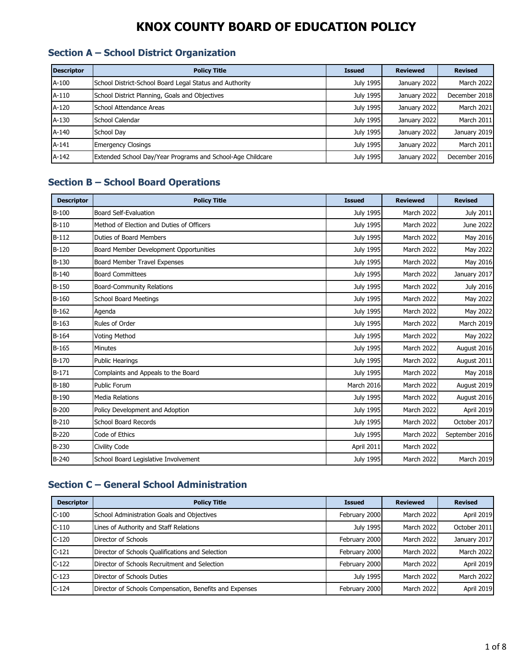#### **Section A – School District Organization**

| <b>Descriptor</b> | <b>Policy Title</b>                                        | <b>Issued</b> | <b>Reviewed</b> | <b>Revised</b> |
|-------------------|------------------------------------------------------------|---------------|-----------------|----------------|
| A-100             | School District-School Board Legal Status and Authority    | July 1995     | January 2022    | March 2022     |
| A-110             | School District Planning, Goals and Objectives             | July 1995     | January 2022    | December 2018  |
| A-120             | School Attendance Areas                                    | July 1995     | January 2022    | March 2021     |
| A-130             | School Calendar                                            | July 1995     | January 2022    | March 2011     |
| A-140             | School Dav                                                 | July 1995     | January 2022    | January 2019   |
| $A-141$           | <b>Emergency Closings</b>                                  | July 1995     | January 2022    | March 2011     |
| A-142             | Extended School Day/Year Programs and School-Age Childcare | July 1995     | January 2022    | December 2016  |

### **Section B – School Board Operations**

| <b>Descriptor</b> | <b>Policy Title</b>                       | <b>Issued</b>    | <b>Reviewed</b> | <b>Revised</b>   |
|-------------------|-------------------------------------------|------------------|-----------------|------------------|
| $B-100$           | <b>Board Self-Evaluation</b>              | <b>July 1995</b> | March 2022      | July 2011        |
| $B-110$           | Method of Election and Duties of Officers | <b>July 1995</b> | March 2022      | June 2022        |
| $B-112$           | Duties of Board Members                   | <b>July 1995</b> | March 2022      | May 2016         |
| $B-120$           | Board Member Development Opportunities    | <b>July 1995</b> | March 2022      | May 2022         |
| B-130             | Board Member Travel Expenses              | <b>July 1995</b> | March 2022      | May 2016         |
| $B-140$           | <b>Board Committees</b>                   | <b>July 1995</b> | March 2022      | January 2017     |
| $B-150$           | <b>Board-Community Relations</b>          | July 1995        | March 2022      | <b>July 2016</b> |
| $B-160$           | <b>School Board Meetings</b>              | <b>July 1995</b> | March 2022      | May 2022         |
| $B-162$           | Agenda                                    | <b>July 1995</b> | March 2022      | May 2022         |
| $B-163$           | Rules of Order                            | <b>July 1995</b> | March 2022      | March 2019       |
| $B-164$           | <b>Voting Method</b>                      | July 1995        | March 2022      | May 2022         |
| $B-165$           | <b>Minutes</b>                            | <b>July 1995</b> | March 2022      | August 2016      |
| B-170             | <b>Public Hearings</b>                    | <b>July 1995</b> | March 2022      | August 2011      |
| $B-171$           | Complaints and Appeals to the Board       | July 1995        | March 2022      | May 2018         |
| B-180             | <b>Public Forum</b>                       | March 2016       | March 2022      | August 2019      |
| B-190             | <b>Media Relations</b>                    | July 1995        | March 2022      | August 2016      |
| B-200             | Policy Development and Adoption           | July 1995        | March 2022      | April 2019       |
| $B-210$           | School Board Records                      | <b>July 1995</b> | March 2022      | October 2017     |
| $B-220$           | Code of Ethics                            | July 1995        | March 2022      | September 2016   |
| B-230             | Civility Code                             | April 2011       | March 2022      |                  |
| $B-240$           | School Board Legislative Involvement      | July 1995        | March 2022      | March 2019       |

### **Section C – General School Administration**

| <b>Descriptor</b> | <b>Policy Title</b>                                     | <b>Issued</b> | <b>Reviewed</b> | <b>Revised</b> |
|-------------------|---------------------------------------------------------|---------------|-----------------|----------------|
| $C-100$           | School Administration Goals and Objectives              | February 2000 | March 2022      | April 2019     |
| $C-110$           | Lines of Authority and Staff Relations                  | July 1995     | March 2022      | October 2011   |
| $C-120$           | Director of Schools                                     | February 2000 | March 2022      | January 2017   |
| $C-121$           | Director of Schools Qualifications and Selection        | February 2000 | March 2022      | March 2022     |
| $C-122$           | Director of Schools Recruitment and Selection           | February 2000 | March 2022      | April 2019     |
| $C-123$           | Director of Schools Duties                              | July 1995     | March 2022      | March 2022     |
| $C-124$           | Director of Schools Compensation, Benefits and Expenses | February 2000 | March 2022      | April 2019     |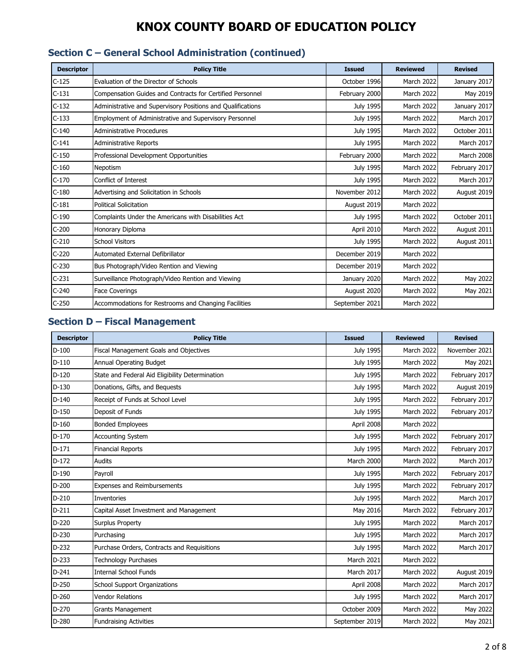| <b>Descriptor</b> | <b>Policy Title</b>                                         | <b>Issued</b>    | <b>Reviewed</b>   | <b>Revised</b> |
|-------------------|-------------------------------------------------------------|------------------|-------------------|----------------|
| $C-125$           | Evaluation of the Director of Schools                       | October 1996     | <b>March 2022</b> | January 2017   |
| $C-131$           | Compensation Guides and Contracts for Certified Personnel   | February 2000    | March 2022        | May 2019       |
| $C-132$           | Administrative and Supervisory Positions and Qualifications | <b>July 1995</b> | March 2022        | January 2017   |
| $C-133$           | Employment of Administrative and Supervisory Personnel      | July 1995        | March 2022        | March 2017     |
| $C-140$           | Administrative Procedures                                   | July 1995        | March 2022        | October 2011   |
| $C-141$           | Administrative Reports                                      | <b>July 1995</b> | March 2022        | March 2017     |
| $C-150$           | Professional Development Opportunities                      | February 2000    | March 2022        | March 2008     |
| $C-160$           | Nepotism                                                    | July 1995        | <b>March 2022</b> | February 2017  |
| $C-170$           | Conflict of Interest                                        | July 1995        | <b>March 2022</b> | March 2017     |
| $C-180$           | Advertising and Solicitation in Schools                     | November 2012    | March 2022        | August 2019    |
| $C-181$           | <b>Political Solicitation</b>                               | August 2019      | March 2022        |                |
| $C-190$           | Complaints Under the Americans with Disabilities Act        | July 1995        | March 2022        | October 2011   |
| $C-200$           | Honorary Diploma                                            | April 2010       | March 2022        | August 2011    |
| $C-210$           | <b>School Visitors</b>                                      | July 1995        | March 2022        | August 2011    |
| $C-220$           | Automated External Defibrillator                            | December 2019    | <b>March 2022</b> |                |
| $C-230$           | Bus Photograph/Video Rention and Viewing                    | December 2019    | <b>March 2022</b> |                |
| $C-231$           | Surveillance Photograph/Video Rention and Viewing           | January 2020     | March 2022        | May 2022       |
| $C-240$           | <b>Face Coverings</b>                                       | August 2020      | March 2022        | May 2021       |
| $C-250$           | Accommodations for Restrooms and Changing Facilities        | September 2021   | <b>March 2022</b> |                |

# **Section C – General School Administration (continued)**

#### **Section D – Fiscal Management**

| <b>Descriptor</b> | <b>Policy Title</b>                             | <b>Issued</b>    | <b>Reviewed</b> | <b>Revised</b> |
|-------------------|-------------------------------------------------|------------------|-----------------|----------------|
| $D-100$           | Fiscal Management Goals and Objectives          | July 1995        | March 2022      | November 2021  |
| $D-110$           | Annual Operating Budget                         | July 1995        | March 2022      | May 2021       |
| $D-120$           | State and Federal Aid Eligibility Determination | <b>July 1995</b> | March 2022      | February 2017  |
| $D-130$           | Donations, Gifts, and Bequests                  | July 1995        | March 2022      | August 2019    |
| $D-140$           | Receipt of Funds at School Level                | July 1995        | March 2022      | February 2017  |
| $D-150$           | Deposit of Funds                                | July 1995        | March 2022      | February 2017  |
| $D-160$           | <b>Bonded Employees</b>                         | April 2008       | March 2022      |                |
| $D-170$           | <b>Accounting System</b>                        | July 1995        | March 2022      | February 2017  |
| $D-171$           | <b>Financial Reports</b>                        | July 1995        | March 2022      | February 2017  |
| $D-172$           | <b>Audits</b>                                   | March 2000       | March 2022      | March 2017     |
| $D-190$           | Payroll                                         | July 1995        | March 2022      | February 2017  |
| $D-200$           | <b>Expenses and Reimbursements</b>              | <b>July 1995</b> | March 2022      | February 2017  |
| $D-210$           | Inventories                                     | July 1995        | March 2022      | March 2017     |
| $D-211$           | Capital Asset Investment and Management         | May 2016         | March 2022      | February 2017  |
| $D-220$           | <b>Surplus Property</b>                         | July 1995        | March 2022      | March 2017     |
| D-230             | Purchasing                                      | July 1995        | March 2022      | March 2017     |
| D-232             | Purchase Orders, Contracts and Requisitions     | July 1995        | March 2022      | March 2017     |
| $D-233$           | <b>Technology Purchases</b>                     | March 2021       | March 2022      |                |
| $D-241$           | <b>Internal School Funds</b>                    | March 2017       | March 2022      | August 2019    |
| $D-250$           | <b>School Support Organizations</b>             | April 2008       | March 2022      | March 2017     |
| $D-260$           | <b>Vendor Relations</b>                         | July 1995        | March 2022      | March 2017     |
| D-270             | <b>Grants Management</b>                        | October 2009     | March 2022      | May 2022       |
| D-280             | <b>Fundraising Activities</b>                   | September 2019   | March 2022      | May 2021       |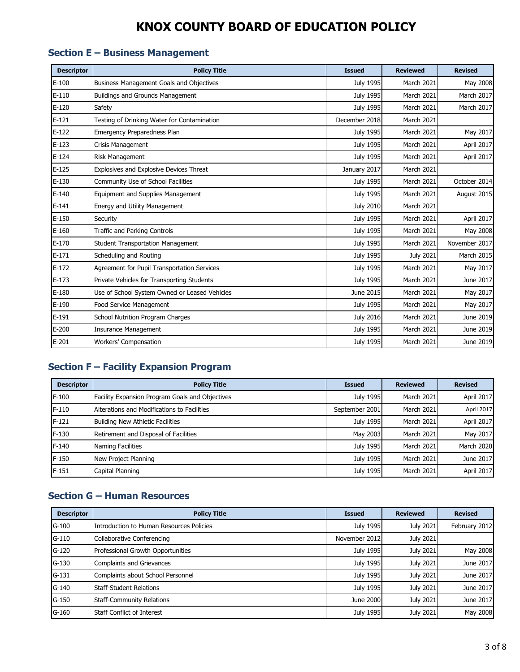#### **Section E – Business Management**

| <b>Descriptor</b> | <b>Policy Title</b>                           | <b>Issued</b>    | <b>Reviewed</b>  | <b>Revised</b> |
|-------------------|-----------------------------------------------|------------------|------------------|----------------|
| $E-100$           | Business Management Goals and Objectives      | July 1995        | March 2021       | May 2008       |
| $E-110$           | <b>Buildings and Grounds Management</b>       | July 1995        | March 2021       | March 2017     |
| $E-120$           | Safety                                        | July 1995        | March 2021       | March 2017     |
| $E-121$           | Testing of Drinking Water for Contamination   | December 2018    | March 2021       |                |
| $E-122$           | Emergency Preparedness Plan                   | <b>July 1995</b> | March 2021       | May 2017       |
| $E-123$           | Crisis Management                             | July 1995        | March 2021       | April 2017     |
| $E-124$           | Risk Management                               | <b>July 1995</b> | March 2021       | April 2017     |
| $E-125$           | Explosives and Explosive Devices Threat       | January 2017     | March 2021       |                |
| $E-130$           | Community Use of School Facilities            | July 1995        | March 2021       | October 2014   |
| $E-140$           | <b>Equipment and Supplies Management</b>      | July 1995        | March 2021       | August 2015    |
| $E-141$           | Energy and Utility Management                 | <b>July 2010</b> | March 2021       |                |
| $E-150$           | Security                                      | July 1995        | March 2021       | April 2017     |
| $E-160$           | <b>Traffic and Parking Controls</b>           | July 1995        | March 2021       | May 2008       |
| $E-170$           | <b>Student Transportation Management</b>      | <b>July 1995</b> | March 2021       | November 2017  |
| $E-171$           | Scheduling and Routing                        | July 1995        | <b>July 2021</b> | March 2015     |
| $E-172$           | Agreement for Pupil Transportation Services   | July 1995        | March 2021       | May 2017       |
| $E-173$           | Private Vehicles for Transporting Students    | July 1995        | March 2021       | June 2017      |
| $E-180$           | Use of School System Owned or Leased Vehicles | June 2015        | March 2021       | May 2017       |
| $E-190$           | Food Service Management                       | <b>July 1995</b> | March 2021       | May 2017       |
| $E-191$           | School Nutrition Program Charges              | <b>July 2016</b> | March 2021       | June 2019      |
| $E-200$           | <b>Insurance Management</b>                   | July 1995        | March 2021       | June 2019      |
| $E-201$           | <b>Workers' Compensation</b>                  | <b>July 1995</b> | March 2021       | June 2019      |

### **Section F – Facility Expansion Program**

| <b>Descriptor</b> | <b>Policy Title</b>                             | <b>Issued</b>    | <b>Reviewed</b> | <b>Revised</b> |
|-------------------|-------------------------------------------------|------------------|-----------------|----------------|
| $F-100$           | Facility Expansion Program Goals and Objectives | July 1995        | March 2021      | April 2017     |
| $F-110$           | Alterations and Modifications to Facilities     | September 2001   | March 2021      | April 2017     |
| $F-121$           | Building New Athletic Facilities                | July 1995        | March 2021      | April 2017     |
| F-130             | Retirement and Disposal of Facilities           | May 2003         | March 2021      | May 2017       |
| F-140             | Naming Facilities                               | July 1995        | March 2021      | March 2020     |
| F-150             | New Project Planning                            | July 1995        | March 2021      | June 2017      |
| F-151             | Capital Planning                                | <b>July 1995</b> | March 2021      | April 2017     |

### **Section G – Human Resources**

| <b>Descriptor</b> | <b>Policy Title</b>                      | <b>Issued</b> | <b>Reviewed</b> | <b>Revised</b> |
|-------------------|------------------------------------------|---------------|-----------------|----------------|
| $G-100$           | Introduction to Human Resources Policies | July 1995     | July 2021       | February 2012  |
| $G-110$           | Collaborative Conferencing               | November 2012 | July 2021       |                |
| $G-120$           | Professional Growth Opportunities        | July 1995     | July 2021       | May 2008       |
| $G-130$           | <b>Complaints and Grievances</b>         | July 1995     | July 2021       | June 2017      |
| $G-131$           | Complaints about School Personnel        | July 1995     | July 2021       | June 2017      |
| $G-140$           | <b>Staff-Student Relations</b>           | July 1995     | July 2021       | June 2017      |
| $G-150$           | <b>Staff-Community Relations</b>         | June 2000     | July 2021       | June 2017      |
| $G-160$           | Staff Conflict of Interest               | July 1995     | July 2021       | May 2008       |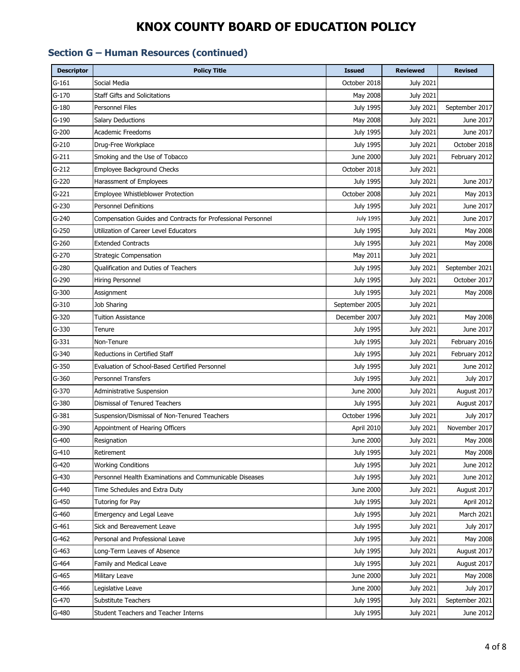### **Section G – Human Resources (continued)**

| <b>Descriptor</b> | <b>Policy Title</b>                                          | <b>Issued</b>    | <b>Reviewed</b>  | <b>Revised</b>   |
|-------------------|--------------------------------------------------------------|------------------|------------------|------------------|
| $G-161$           | Social Media                                                 | October 2018     | <b>July 2021</b> |                  |
| $G-170$           | Staff Gifts and Solicitations                                | May 2008         | <b>July 2021</b> |                  |
| $G-180$           | Personnel Files                                              | <b>July 1995</b> | <b>July 2021</b> | September 2017   |
| $G-190$           | Salary Deductions                                            | May 2008         | <b>July 2021</b> | June 2017        |
| $G-200$           | <b>Academic Freedoms</b>                                     | July 1995        | <b>July 2021</b> | June 2017        |
| $G-210$           | Drug-Free Workplace                                          | <b>July 1995</b> | <b>July 2021</b> | October 2018     |
| $G-211$           | Smoking and the Use of Tobacco                               | June 2000        | <b>July 2021</b> | February 2012    |
| $G-212$           | Employee Background Checks                                   | October 2018     | July 2021        |                  |
| $G-220$           | Harassment of Employees                                      | <b>July 1995</b> | July 2021        | June 2017        |
| $G-221$           | Employee Whistleblower Protection                            | October 2008     | July 2021        | May 2013         |
| $G-230$           | <b>Personnel Definitions</b>                                 | <b>July 1995</b> | July 2021        | June 2017        |
| G-240             | Compensation Guides and Contracts for Professional Personnel | <b>July 1995</b> | <b>July 2021</b> | June 2017        |
| $G-250$           | Utilization of Career Level Educators                        | July 1995        | July 2021        | May 2008         |
| $G-260$           | <b>Extended Contracts</b>                                    | July 1995        | July 2021        | May 2008         |
| $G-270$           | <b>Strategic Compensation</b>                                | May 2011         | July 2021        |                  |
| $G-280$           | <b>Oualification and Duties of Teachers</b>                  | <b>July 1995</b> | <b>July 2021</b> | September 2021   |
| G-290             | Hiring Personnel                                             | July 1995        | <b>July 2021</b> | October 2017     |
| $G-300$           | Assignment                                                   | July 1995        | July 2021        | May 2008         |
| G-310             | Job Sharing                                                  | September 2005   | <b>July 2021</b> |                  |
| G-320             | <b>Tuition Assistance</b>                                    | December 2007    | July 2021        | May 2008         |
| $G-330$           | Tenure                                                       | July 1995        | July 2021        | June 2017        |
| $G-331$           | Non-Tenure                                                   | <b>July 1995</b> | July 2021        | February 2016    |
| $G - 340$         | Reductions in Certified Staff                                | <b>July 1995</b> | <b>July 2021</b> | February 2012    |
| $G-350$           | Evaluation of School-Based Certified Personnel               | July 1995        | <b>July 2021</b> | June 2012        |
| G-360             | Personnel Transfers                                          | <b>July 1995</b> | <b>July 2021</b> | July 2017        |
| G-370             | Administrative Suspension                                    | June 2000        | <b>July 2021</b> | August 2017      |
| $G-380$           | <b>Dismissal of Tenured Teachers</b>                         | <b>July 1995</b> | <b>July 2021</b> | August 2017      |
| $G-381$           | Suspension/Dismissal of Non-Tenured Teachers                 | October 1996     | <b>July 2021</b> | July 2017        |
| G-390             | Appointment of Hearing Officers                              | April 2010       | <b>July 2021</b> | November 2017    |
| G-400             | Resignation                                                  | June 2000        | <b>July 2021</b> | May 2008         |
| $G-410$           | Retirement                                                   | July 1995        | <b>July 2021</b> | May 2008         |
| $G-420$           | <b>Working Conditions</b>                                    | July 1995        | <b>July 2021</b> | June 2012        |
| $G-430$           | Personnel Health Examinations and Communicable Diseases      | <b>July 1995</b> | <b>July 2021</b> | June 2012        |
| $G-440$           | Time Schedules and Extra Duty                                | <b>June 2000</b> | <b>July 2021</b> | August 2017      |
| $G-450$           | Tutoring for Pay                                             | <b>July 1995</b> | <b>July 2021</b> | April 2012       |
| $G-460$           | Emergency and Legal Leave                                    | July 1995        | <b>July 2021</b> | March 2021       |
| $G-461$           | Sick and Bereavement Leave                                   | July 1995        | July 2021        | <b>July 2017</b> |
| $G-462$           | Personal and Professional Leave                              | July 1995        | <b>July 2021</b> | May 2008         |
| $G-463$           | Long-Term Leaves of Absence                                  | July 1995        | July 2021        | August 2017      |
| G-464             | Family and Medical Leave                                     | <b>July 1995</b> | <b>July 2021</b> | August 2017      |
| $G-465$           | Military Leave                                               | June 2000        | <b>July 2021</b> | May 2008         |
| G-466             | Legislative Leave                                            | June 2000        | <b>July 2021</b> | July 2017        |
| G-470             | Substitute Teachers                                          | July 1995        | <b>July 2021</b> | September 2021   |
| G-480             | Student Teachers and Teacher Interns                         | July 1995        | July 2021        | June 2012        |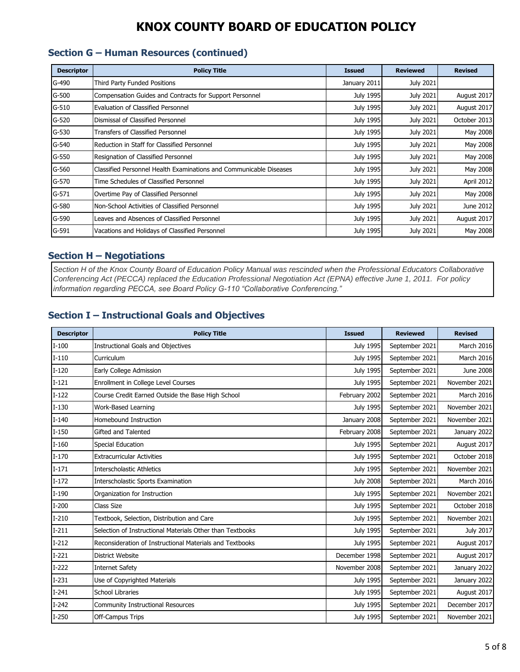#### **Section G – Human Resources (continued)**

| <b>Descriptor</b> | <b>Policy Title</b>                                                | <b>Issued</b> | <b>Reviewed</b>  | <b>Revised</b> |
|-------------------|--------------------------------------------------------------------|---------------|------------------|----------------|
| G-490             | Third Party Funded Positions                                       | January 2011  | <b>July 2021</b> |                |
| $G-500$           | Compensation Guides and Contracts for Support Personnel            | July 1995     | <b>July 2021</b> | August 2017    |
| $G-510$           | Evaluation of Classified Personnel                                 | July 1995     | <b>July 2021</b> | August 2017    |
| G-520             | Dismissal of Classified Personnel                                  | July 1995     | <b>July 2021</b> | October 2013   |
| $G-530$           | Transfers of Classified Personnel                                  | July 1995     | <b>July 2021</b> | May 2008       |
| $G-540$           | Reduction in Staff for Classified Personnel                        | July 1995     | <b>July 2021</b> | May 2008       |
| $G-550$           | Resignation of Classified Personnel                                | July 1995     | <b>July 2021</b> | May 2008       |
| G-560             | Classified Personnel Health Examinations and Communicable Diseases | July 1995     | <b>July 2021</b> | May 2008       |
| G-570             | Time Schedules of Classified Personnel                             | July 1995     | July 2021        | April 2012     |
| $G-571$           | Overtime Pay of Classified Personnel                               | July 1995     | <b>July 2021</b> | May 2008       |
| G-580             | Non-School Activities of Classified Personnel                      | July 1995     | <b>July 2021</b> | June 2012      |
| G-590             | Leaves and Absences of Classified Personnel                        | July 1995     | <b>July 2021</b> | August 2017    |
| G-591             | Vacations and Holidays of Classified Personnel                     | July 1995     | <b>July 2021</b> | May 2008       |

#### **Section H – Negotiations**

*Section H of the Knox County Board of Education Policy Manual was rescinded when the Professional Educators Collaborative Conferencing Act (PECCA) replaced the Education Professional Negotiation Act (EPNA) effective June 1, 2011. For policy information regarding PECCA, see Board Policy G-110 "Collaborative Conferencing."*

#### **Section I – Instructional Goals and Objectives**

| <b>Descriptor</b> | <b>Policy Title</b>                                       | <b>Issued</b>    | <b>Reviewed</b> | <b>Revised</b> |
|-------------------|-----------------------------------------------------------|------------------|-----------------|----------------|
| $I-100$           | <b>Instructional Goals and Objectives</b>                 | July 1995        | September 2021  | March 2016     |
| $I-110$           | Curriculum                                                | July 1995        | September 2021  | March 2016     |
| $I-120$           | Early College Admission                                   | July 1995        | September 2021  | June 2008      |
| $I-121$           | Enrollment in College Level Courses                       | July 1995        | September 2021  | November 2021  |
| $I-122$           | Course Credit Earned Outside the Base High School         | February 2002    | September 2021  | March 2016     |
| $I-130$           | Work-Based Learning                                       | July 1995        | September 2021  | November 2021  |
| $I-140$           | Homebound Instruction                                     | January 2008     | September 2021  | November 2021  |
| $I-150$           | Gifted and Talented                                       | February 2008    | September 2021  | January 2022   |
| $I-160$           | Special Education                                         | July 1995        | September 2021  | August 2017    |
| $I-170$           | <b>Extracurricular Activities</b>                         | July 1995        | September 2021  | October 2018   |
| $I-171$           | <b>Interscholastic Athletics</b>                          | July 1995        | September 2021  | November 2021  |
| $I-172$           | <b>Interscholastic Sports Examination</b>                 | <b>July 2008</b> | September 2021  | March 2016     |
| $I-190$           | Organization for Instruction                              | July 1995        | September 2021  | November 2021  |
| $I-200$           | <b>Class Size</b>                                         | July 1995        | September 2021  | October 2018   |
| $I-210$           | Textbook, Selection, Distribution and Care                | July 1995        | September 2021  | November 2021  |
| $I-211$           | Selection of Instructional Materials Other than Textbooks | July 1995        | September 2021  | July 2017      |
| $I-212$           | Reconsideration of Instructional Materials and Textbooks  | July 1995        | September 2021  | August 2017    |
| $I-221$           | <b>District Website</b>                                   | December 1998    | September 2021  | August 2017    |
| $I-222$           | <b>Internet Safety</b>                                    | November 2008    | September 2021  | January 2022   |
| $I-231$           | Use of Copyrighted Materials                              | July 1995        | September 2021  | January 2022   |
| $I-241$           | <b>School Libraries</b>                                   | July 1995        | September 2021  | August 2017    |
| $I-242$           | Community Instructional Resources                         | July 1995        | September 2021  | December 2017  |
| $I-250$           | Off-Campus Trips                                          | July 1995        | September 2021  | November 2021  |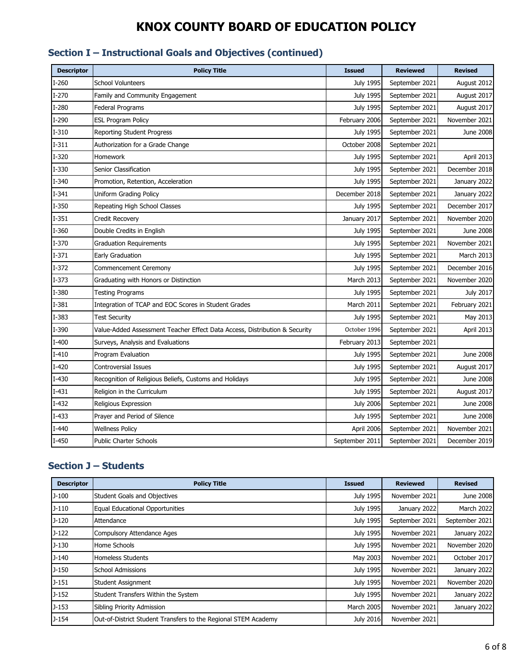### **Section I – Instructional Goals and Objectives (continued)**

| <b>Descriptor</b> | <b>Policy Title</b>                                                        | <b>Issued</b>    | <b>Reviewed</b> | <b>Revised</b>    |
|-------------------|----------------------------------------------------------------------------|------------------|-----------------|-------------------|
| $I-260$           | <b>School Volunteers</b>                                                   | <b>July 1995</b> | September 2021  | August 2012       |
| $I-270$           | Family and Community Engagement                                            | <b>July 1995</b> | September 2021  | August 2017       |
| $I-280$           | Federal Programs                                                           | July 1995        | September 2021  | August 2017       |
| $I-290$           | <b>ESL Program Policy</b>                                                  | February 2006    | September 2021  | November 2021     |
| $I-310$           | <b>Reporting Student Progress</b>                                          | July 1995        | September 2021  | June 2008         |
| $I-311$           | Authorization for a Grade Change                                           | October 2008     | September 2021  |                   |
| $I-320$           | <b>Homework</b>                                                            | <b>July 1995</b> | September 2021  | April 2013        |
| $I-330$           | Senior Classification                                                      | July 1995        | September 2021  | December 2018     |
| $I - 340$         | Promotion, Retention, Acceleration                                         | July 1995        | September 2021  | January 2022      |
| $I-341$           | Uniform Grading Policy                                                     | December 2018    | September 2021  | January 2022      |
| $I-350$           | Repeating High School Classes                                              | <b>July 1995</b> | September 2021  | December 2017     |
| $I-351$           | <b>Credit Recovery</b>                                                     | January 2017     | September 2021  | November 2020     |
| $I-360$           | Double Credits in English                                                  | <b>July 1995</b> | September 2021  | June 2008         |
| $I-370$           | <b>Graduation Requirements</b>                                             | July 1995        | September 2021  | November 2021     |
| $I-371$           | Early Graduation                                                           | July 1995        | September 2021  | <b>March 2013</b> |
| $I-372$           | Commencement Ceremony                                                      | <b>July 1995</b> | September 2021  | December 2016     |
| $I-373$           | Graduating with Honors or Distinction                                      | March 2013       | September 2021  | November 2020     |
| I-380             | <b>Testing Programs</b>                                                    | July 1995        | September 2021  | July 2017         |
| $I-381$           | Integration of TCAP and EOC Scores in Student Grades                       | March 2011       | September 2021  | February 2021     |
| I-383             | Test Security                                                              | July 1995        | September 2021  | May 2013          |
| I-390             | Value-Added Assessment Teacher Effect Data Access, Distribution & Security | October 1996     | September 2021  | April 2013        |
| $I-400$           | Surveys, Analysis and Evaluations                                          | February 2013    | September 2021  |                   |
| $I-410$           | Program Evaluation                                                         | July 1995        | September 2021  | June 2008         |
| $I-420$           | Controversial Issues                                                       | <b>July 1995</b> | September 2021  | August 2017       |
| $I-430$           | Recognition of Religious Beliefs, Customs and Holidays                     | <b>July 1995</b> | September 2021  | June 2008         |
| $I-431$           | Religion in the Curriculum                                                 | July 1995        | September 2021  | August 2017       |
| $I-432$           | Religious Expression                                                       | <b>July 2006</b> | September 2021  | June 2008         |
| $I-433$           | Prayer and Period of Silence                                               | <b>July 1995</b> | September 2021  | June 2008         |
| $I-440$           | <b>Wellness Policy</b>                                                     | April 2006       | September 2021  | November 2021     |
| $I-450$           | <b>Public Charter Schools</b>                                              | September 2011   | September 2021  | December 2019     |

#### **Section J – Students**

| <b>Descriptor</b> | <b>Policy Title</b>                                            | <b>Issued</b>    | <b>Reviewed</b> | <b>Revised</b> |
|-------------------|----------------------------------------------------------------|------------------|-----------------|----------------|
| $J-100$           | Student Goals and Objectives                                   | July 1995        | November 2021   | June 2008      |
| $J-110$           | Equal Educational Opportunities                                | <b>July 1995</b> | January 2022    | March 2022     |
| $J-120$           | Attendance                                                     | July 1995        | September 2021  | September 2021 |
| $J-122$           | <b>Compulsory Attendance Ages</b>                              | July 1995        | November 2021   | January 2022   |
| $J-130$           | Home Schools                                                   | July 1995        | November 2021   | November 2020  |
| $J-140$           | <b>Homeless Students</b>                                       | May 2003         | November 2021   | October 2017   |
| $J-150$           | <b>School Admissions</b>                                       | July 1995        | November 2021   | January 2022   |
| $J-151$           | <b>Student Assignment</b>                                      | July 1995        | November 2021   | November 2020  |
| $J-152$           | Student Transfers Within the System                            | July 1995        | November 2021   | January 2022   |
| $J-153$           | Sibling Priority Admission                                     | March 2005       | November 2021   | January 2022   |
| $J-154$           | Out-of-District Student Transfers to the Regional STEM Academy | <b>July 2016</b> | November 2021   |                |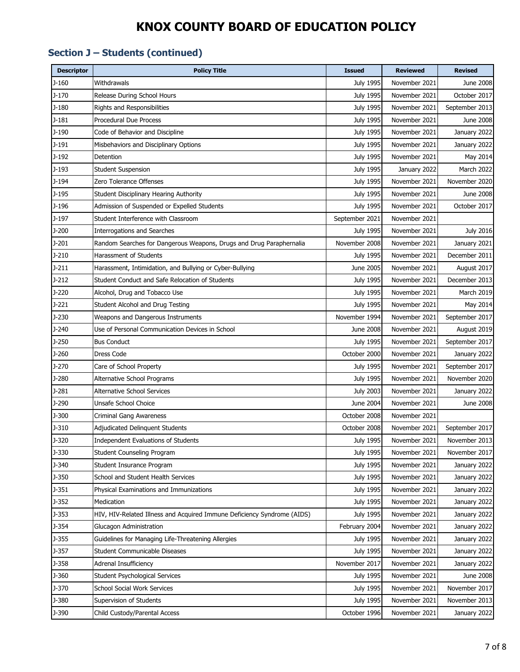### **Section J – Students (continued)**

| <b>Descriptor</b> | <b>Policy Title</b>                                                     | <b>Issued</b>    | <b>Reviewed</b> | <b>Revised</b> |
|-------------------|-------------------------------------------------------------------------|------------------|-----------------|----------------|
| J-160             | Withdrawals                                                             | July 1995        | November 2021   | June 2008      |
| $J-170$           | Release During School Hours                                             | <b>July 1995</b> | November 2021   | October 2017   |
| $J-180$           | Rights and Responsibilities                                             | <b>July 1995</b> | November 2021   | September 2013 |
| $J-181$           | <b>Procedural Due Process</b>                                           | <b>July 1995</b> | November 2021   | June 2008      |
| $J-190$           | Code of Behavior and Discipline                                         | <b>July 1995</b> | November 2021   | January 2022   |
| $J-191$           | Misbehaviors and Disciplinary Options                                   | <b>July 1995</b> | November 2021   | January 2022   |
| J-192             | Detention                                                               | July 1995        | November 2021   | May 2014       |
| $J-193$           | <b>Student Suspension</b>                                               | July 1995        | January 2022    | March 2022     |
| J-194             | Zero Tolerance Offenses                                                 | <b>July 1995</b> | November 2021   | November 2020  |
| $J-195$           | Student Disciplinary Hearing Authority                                  | <b>July 1995</b> | November 2021   | June 2008      |
| $J-196$           | Admission of Suspended or Expelled Students                             | <b>July 1995</b> | November 2021   | October 2017   |
| $J-197$           | Student Interference with Classroom                                     | September 2021   | November 2021   |                |
| J-200             | <b>Interrogations and Searches</b>                                      | July 1995        | November 2021   | July 2016      |
| $J-201$           | Random Searches for Dangerous Weapons, Drugs and Drug Paraphernalia     | November 2008    | November 2021   | January 2021   |
| $J-210$           | Harassment of Students                                                  | <b>July 1995</b> | November 2021   | December 2011  |
| J-211             | Harassment, Intimidation, and Bullying or Cyber-Bullying                | June 2005        | November 2021   | August 2017    |
| $J-212$           | Student Conduct and Safe Relocation of Students                         | <b>July 1995</b> | November 2021   | December 2013  |
| $J-220$           | Alcohol, Drug and Tobacco Use                                           | July 1995        | November 2021   | March 2019     |
| J-221             | Student Alcohol and Drug Testing                                        | <b>July 1995</b> | November 2021   | May 2014       |
| $J-230$           | Weapons and Dangerous Instruments                                       | November 1994    | November 2021   | September 2017 |
| J-240             | Use of Personal Communication Devices in School                         | June 2008        | November 2021   | August 2019    |
| J-250             | <b>Bus Conduct</b>                                                      | <b>July 1995</b> | November 2021   | September 2017 |
| J-260             | Dress Code                                                              | October 2000     | November 2021   | January 2022   |
| $J-270$           | Care of School Property                                                 | <b>July 1995</b> | November 2021   | September 2017 |
| J-280             | Alternative School Programs                                             | July 1995        | November 2021   | November 2020  |
| J-281             | Alternative School Services                                             | <b>July 2003</b> | November 2021   | January 2022   |
| J-290             | Unsafe School Choice                                                    | June 2004        | November 2021   | June 2008      |
| J-300             | <b>Criminal Gang Awareness</b>                                          | October 2008     | November 2021   |                |
| $J - 310$         | Adjudicated Delinquent Students                                         | October 2008     | November 2021   | September 2017 |
| $J - 320$         | Independent Evaluations of Students                                     | July 1995        | November 2021   | November 2013  |
| J-330             | Student Counseling Program                                              | July 1995        | November 2021   | November 2017  |
| $J - 340$         | Student Insurance Program                                               | <b>July 1995</b> | November 2021   | January 2022   |
| $J - 350$         | School and Student Health Services                                      | July 1995        | November 2021   | January 2022   |
| $J-351$           | Physical Examinations and Immunizations                                 | <b>July 1995</b> | November 2021   | January 2022   |
| $J-352$           | Medication                                                              | July 1995        | November 2021   | January 2022   |
| $J - 353$         | HIV, HIV-Related Illness and Acquired Immune Deficiency Syndrome (AIDS) | July 1995        | November 2021   | January 2022   |
| $J-354$           | Glucagon Administration                                                 | February 2004    | November 2021   | January 2022   |
| $J-355$           | Guidelines for Managing Life-Threatening Allergies                      | <b>July 1995</b> | November 2021   | January 2022   |
| $J-357$           | Student Communicable Diseases                                           | July 1995        | November 2021   | January 2022   |
| $J-358$           | <b>Adrenal Insufficiency</b>                                            | November 2017    | November 2021   | January 2022   |
| $J - 360$         | Student Psychological Services                                          | <b>July 1995</b> | November 2021   | June 2008      |
| $J - 370$         | School Social Work Services                                             | <b>July 1995</b> | November 2021   | November 2017  |
| J-380             | Supervision of Students                                                 | July 1995        | November 2021   | November 2013  |
| J-390             | Child Custody/Parental Access                                           | October 1996     | November 2021   | January 2022   |